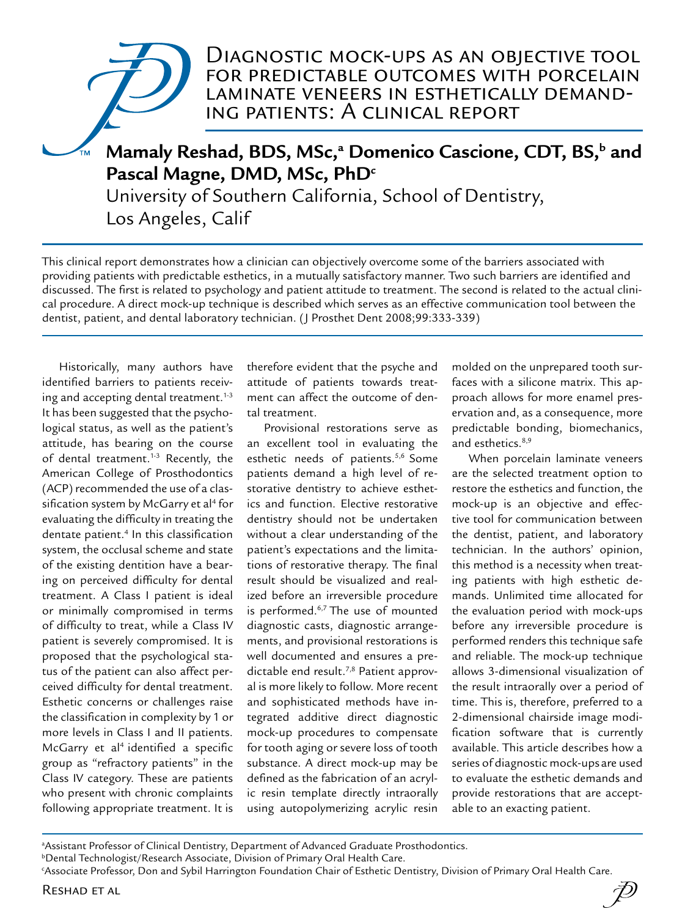# Diagnostic mock-ups as an objective tool for predictable outcomes with porcelain laminate veneers in esthetically demanding patients: A clinical report

# Mamaly Reshad, BDS, MSc,<sup>a</sup> Domenico Cascione, CDT, BS,<sup>b</sup> and Pascal Magne, DMD, MSc, PhD<sup>c</sup>

University of Southern California, School of Dentistry, Los Angeles, Calif

This clinical report demonstrates how a clinician can objectively overcome some of the barriers associated with providing patients with predictable esthetics, in a mutually satisfactory manner. Two such barriers are identified and discussed. The first is related to psychology and patient attitude to treatment. The second is related to the actual clinical procedure. A direct mock-up technique is described which serves as an effective communication tool between the dentist, patient, and dental laboratory technician. (J Prosthet Dent 2008;99:333-339)

Historically, many authors have identified barriers to patients receiving and accepting dental treatment.<sup>1-3</sup> It has been suggested that the psychological status, as well as the patient's attitude, has bearing on the course of dental treatment.<sup>1-3</sup> Recently, the American College of Prosthodontics (ACP) recommended the use of a classification system by McGarry et al<sup>4</sup> for evaluating the difficulty in treating the dentate patient.4 In this classification system, the occlusal scheme and state of the existing dentition have a bearing on perceived difficulty for dental treatment. A Class I patient is ideal or minimally compromised in terms of difficulty to treat, while a Class IV patient is severely compromised. It is proposed that the psychological status of the patient can also affect perceived difficulty for dental treatment. Esthetic concerns or challenges raise the classification in complexity by 1 or more levels in Class I and II patients. McGarry et al<sup>4</sup> identified a specific group as "refractory patients" in the Class IV category. These are patients who present with chronic complaints following appropriate treatment. It is

therefore evident that the psyche and attitude of patients towards treatment can affect the outcome of dental treatment.

Provisional restorations serve as an excellent tool in evaluating the esthetic needs of patients.<sup>5,6</sup> Some patients demand a high level of restorative dentistry to achieve esthetics and function. Elective restorative dentistry should not be undertaken without a clear understanding of the patient's expectations and the limitations of restorative therapy. The final result should be visualized and realized before an irreversible procedure is performed.<sup>6,7</sup> The use of mounted diagnostic casts, diagnostic arrangements, and provisional restorations is well documented and ensures a predictable end result.7,8 Patient approval is more likely to follow. More recent and sophisticated methods have integrated additive direct diagnostic mock-up procedures to compensate for tooth aging or severe loss of tooth substance. A direct mock-up may be defined as the fabrication of an acrylic resin template directly intraorally using autopolymerizing acrylic resin

molded on the unprepared tooth surfaces with a silicone matrix. This approach allows for more enamel preservation and, as a consequence, more predictable bonding, biomechanics, and esthetics.<sup>8,9</sup>

When porcelain laminate veneers are the selected treatment option to restore the esthetics and function, the mock-up is an objective and effective tool for communication between the dentist, patient, and laboratory technician. In the authors' opinion, this method is a necessity when treating patients with high esthetic demands. Unlimited time allocated for the evaluation period with mock-ups before any irreversible procedure is performed renders this technique safe and reliable. The mock-up technique allows 3-dimensional visualization of the result intraorally over a period of time. This is, therefore, preferred to a 2-dimensional chairside image modification software that is currently available. This article describes how a series of diagnostic mock-upsare used to evaluate the esthetic demands and provide restorations that are acceptable to an exacting patient.

a Assistant Professor of Clinical Dentistry, Department of Advanced Graduate Prosthodontics.

**bDental Technologist/Research Associate, Division of Primary Oral Health Care.** 

c Associate Professor, Don and Sybil Harrington Foundation Chair of Esthetic Dentistry, Division of Primary Oral Health Care.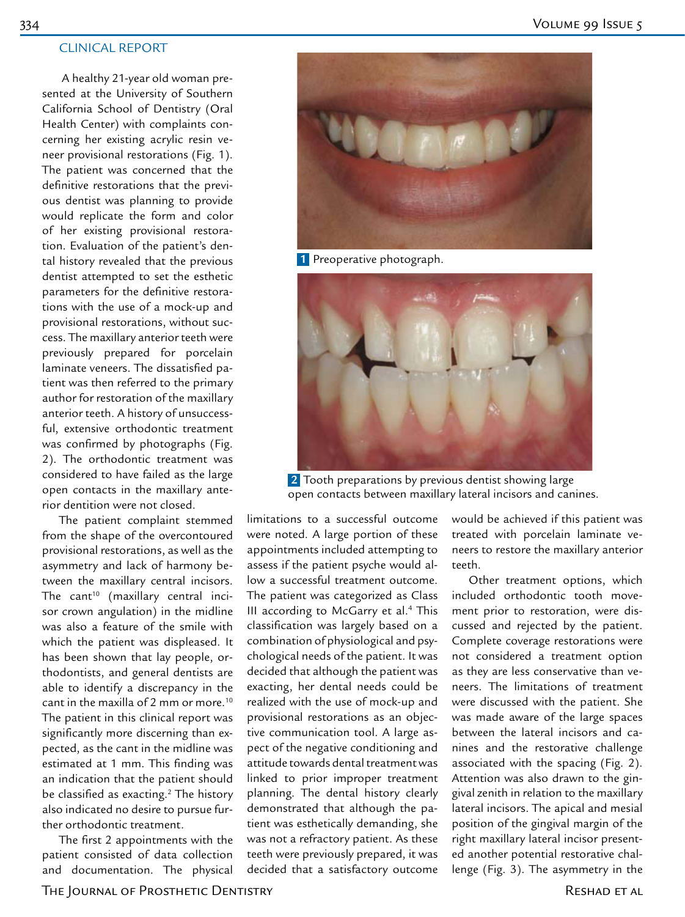### CLINICAL REPORT

 A healthy 21-year old woman presented at the University of Southern California School of Dentistry (Oral Health Center) with complaints concerning her existing acrylic resin veneer provisional restorations (Fig. 1). The patient was concerned that the definitive restorations that the previous dentist was planning to provide would replicate the form and color of her existing provisional restoration. Evaluation of the patient's dental history revealed that the previous dentist attempted to set the esthetic parameters for the definitive restorations with the use of a mock-up and provisional restorations, without success. The maxillary anterior teeth were previously prepared for porcelain laminate veneers. The dissatisfied patient was then referred to the primary author for restoration of the maxillary anterior teeth. A history of unsuccessful, extensive orthodontic treatment was confirmed by photographs (Fig. 2). The orthodontic treatment was considered to have failed as the large open contacts in the maxillary anterior dentition were not closed.

The patient complaint stemmed from the shape of the overcontoured provisional restorations, as well as the asymmetry and lack of harmony between the maxillary central incisors. The cant $10$  (maxillary central incisor crown angulation) in the midline was also a feature of the smile with which the patient was displeased. It has been shown that lay people, orthodontists, and general dentists are able to identify a discrepancy in the cant in the maxilla of 2 mm or more.<sup>10</sup> The patient in this clinical report was significantly more discerning than expected, as the cant in the midline was estimated at 1 mm. This finding was an indication that the patient should be classified as exacting. $2$  The history also indicated no desire to pursue further orthodontic treatment.

The first 2 appointments with the patient consisted of data collection and documentation. The physical



 **1** Preoperative photograph.



 **2** Tooth preparations by previous dentist showing large open contacts between maxillary lateral incisors and canines.

limitations to a successful outcome were noted. A large portion of these appointments included attempting to assess if the patient psyche would allow a successful treatment outcome. The patient was categorized as Class III according to McGarry et al.<sup>4</sup> This classification was largely based on a combination of physiological and psychological needs of the patient. It was decided that although the patient was exacting, her dental needs could be realized with the use of mock-up and provisional restorations as an objective communication tool. A large aspect of the negative conditioning and attitude towards dental treatment was linked to prior improper treatment planning. The dental history clearly demonstrated that although the patient was esthetically demanding, she was not a refractory patient. As these teeth were previously prepared, it was decided that a satisfactory outcome

would be achieved if this patient was treated with porcelain laminate veneers to restore the maxillary anterior teeth.

Other treatment options, which included orthodontic tooth movement prior to restoration, were discussed and rejected by the patient. Complete coverage restorations were not considered a treatment option as they are less conservative than veneers. The limitations of treatment were discussed with the patient. She was made aware of the large spaces between the lateral incisors and canines and the restorative challenge associated with the spacing (Fig. 2). Attention was also drawn to the gingival zenith in relation to the maxillary lateral incisors. The apical and mesial position of the gingival margin of the right maxillary lateral incisor presented another potential restorative challenge (Fig. 3). The asymmetry in the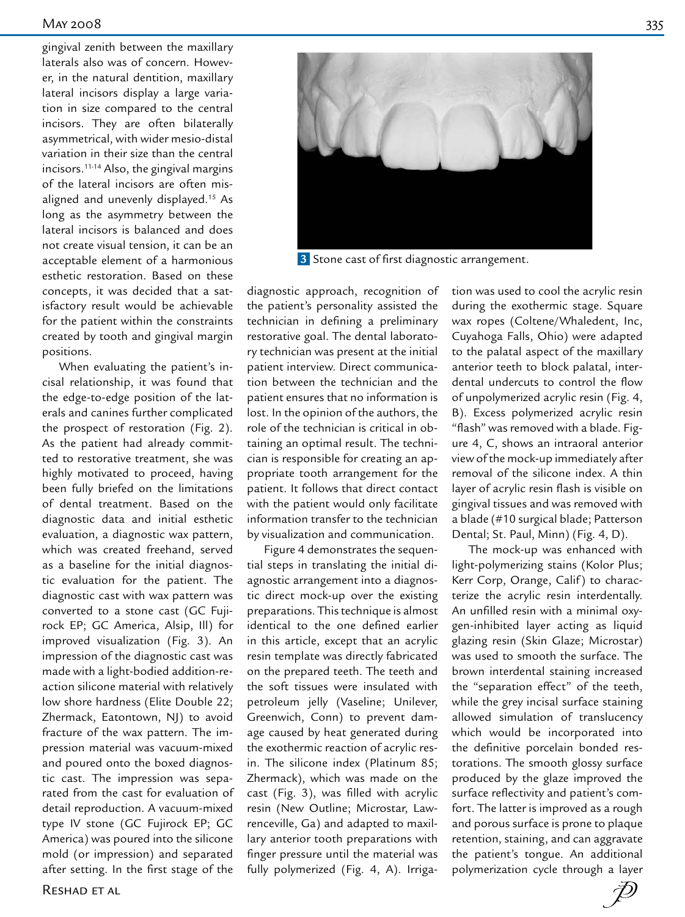gingival zenith between the maxillary laterals also was of concern. However, in the natural dentition, maxillary lateral incisors display a large variation in size compared to the central incisors. They are often bilaterally asymmetrical, with wider mesio-distal variation in their size than the central incisors.11-14 Also, the gingival margins of the lateral incisors are often misaligned and unevenly displayed.15 As long as the asymmetry between the lateral incisors is balanced and does not create visual tension, it can be an acceptable element of a harmonious esthetic restoration. Based on these concepts, it was decided that a satisfactory result would be achievable for the patient within the constraints created by tooth and gingival margin positions.

When evaluating the patient's incisal relationship, it was found that the edge-to-edge position of the laterals and canines further complicated the prospect of restoration (Fig. 2). As the patient had already committed to restorative treatment, she was highly motivated to proceed, having been fully briefed on the limitations of dental treatment. Based on the diagnostic data and initial esthetic evaluation, a diagnostic wax pattern, which was created freehand, served as a baseline for the initial diagnostic evaluation for the patient. The diagnostic cast with wax pattern was converted to a stone cast (GC Fujirock EP; GC America, Alsip, Ill) for improved visualization (Fig. 3). An impression of the diagnostic cast was made with a light-bodied addition-reaction silicone material with relatively low shore hardness (Elite Double 22; Zhermack, Eatontown, NJ) to avoid fracture of the wax pattern. The impression material was vacuum-mixed and poured onto the boxed diagnostic cast. The impression was separated from the cast for evaluation of detail reproduction. A vacuum-mixed type IV stone (GC Fujirock EP; GC America) was poured into the silicone mold (or impression) and separated after setting. In the first stage of the



 **3** Stone cast of first diagnostic arrangement.

diagnostic approach, recognition of the patient's personality assisted the technician in defining a preliminary restorative goal. The dental laboratory technician was present at the initial patient interview. Direct communication between the technician and the patient ensures that no information is lost. In the opinion of the authors, the role of the technician is critical in obtaining an optimal result. The technician is responsible for creating an appropriate tooth arrangement for the patient. It follows that direct contact with the patient would only facilitate information transfer to the technician by visualization and communication.

Figure 4 demonstrates the sequential steps in translating the initial diagnostic arrangement into a diagnostic direct mock-up over the existing preparations. This technique is almost identical to the one defined earlier in this article, except that an acrylic resin template was directly fabricated on the prepared teeth. The teeth and the soft tissues were insulated with petroleum jelly (Vaseline; Unilever, Greenwich, Conn) to prevent damage caused by heat generated during the exothermic reaction of acrylic resin. The silicone index (Platinum 85; Zhermack), which was made on the cast (Fig. 3), was filled with acrylic resin (New Outline; Microstar, Lawrenceville, Ga) and adapted to maxillary anterior tooth preparations with finger pressure until the material was fully polymerized (Fig. 4, A). Irrigation was used to cool the acrylic resin during the exothermic stage. Square wax ropes (Coltene/Whaledent, Inc, Cuyahoga Falls, Ohio) were adapted to the palatal aspect of the maxillary anterior teeth to block palatal, interdental undercuts to control the flow of unpolymerized acrylic resin (Fig. 4, B). Excess polymerized acrylic resin "flash" was removed with a blade. Figure 4, C, shows an intraoral anterior view of the mock-up immediately after removal of the silicone index. A thin layer of acrylic resin flash is visible on gingival tissues and was removed with a blade (#10 surgical blade; Patterson Dental; St. Paul, Minn) (Fig. 4, D).

The mock-up was enhanced with light-polymerizing stains (Kolor Plus; Kerr Corp, Orange, Calif) to characterize the acrylic resin interdentally. An unfilled resin with a minimal oxygen-inhibited layer acting as liquid glazing resin (Skin Glaze; Microstar) was used to smooth the surface. The brown interdental staining increased the "separation effect" of the teeth, while the grey incisal surface staining allowed simulation of translucency which would be incorporated into the definitive porcelain bonded restorations. The smooth glossy surface produced by the glaze improved the surface reflectivity and patient's comfort. The latter is improved as a rough and porous surface is prone to plaque retention, staining, and can aggravate the patient's tongue. An additional polymerization cycle through a layer

 $\bar{\mathcal{D}}$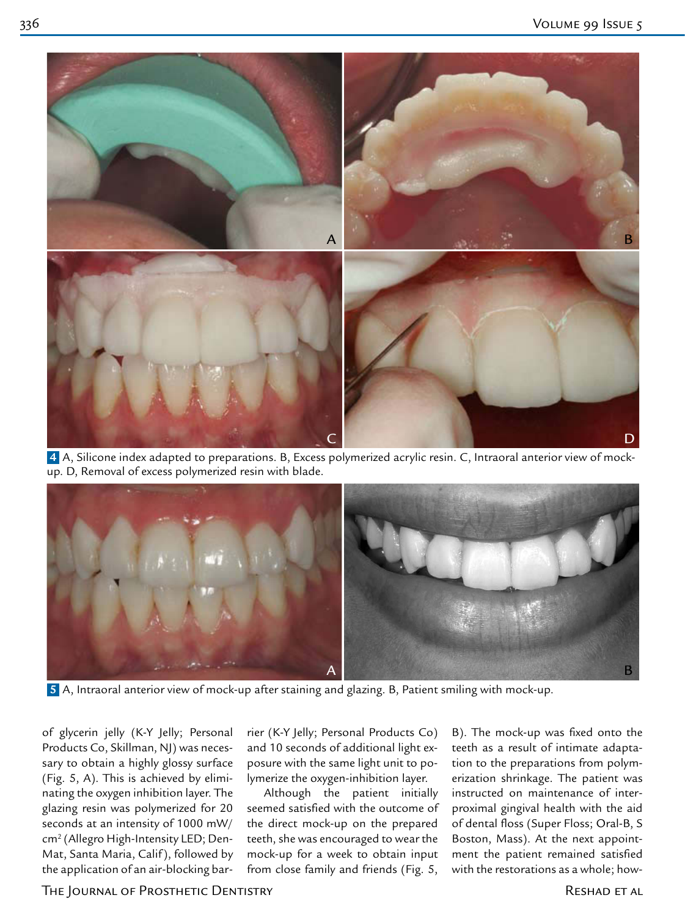

 **4** A, Silicone index adapted to preparations. B, Excess polymerized acrylic resin. C, Intraoral anterior view of mockup. D, Removal of excess polymerized resin with blade.



 **5** A, Intraoral anterior view of mock-up after staining and glazing. B, Patient smiling with mock-up.

of glycerin jelly (K-Y Jelly; Personal Products Co, Skillman, NJ) was necessary to obtain a highly glossy surface (Fig. 5, A). This is achieved by eliminating the oxygen inhibition layer. The glazing resin was polymerized for 20 seconds at an intensity of 1000 mW/ cm2 (Allegro High-Intensity LED; Den-Mat, Santa Maria, Calif ), followed by the application of an air-blocking barrier (K-Y Jelly; Personal Products Co) and 10 seconds of additional light exposure with the same light unit to polymerize the oxygen-inhibition layer.

Although the patient initially seemed satisfied with the outcome of the direct mock-up on the prepared teeth, she was encouraged to wear the mock-up for a week to obtain input from close family and friends (Fig. 5,

B). The mock-up was fixed onto the teeth as a result of intimate adaptation to the preparations from polymerization shrinkage. The patient was instructed on maintenance of interproximal gingival health with the aid of dental floss (Super Floss; Oral-B, S Boston, Mass). At the next appointment the patient remained satisfied with the restorations as a whole; how-

The Journal of Prosthetic Dentistry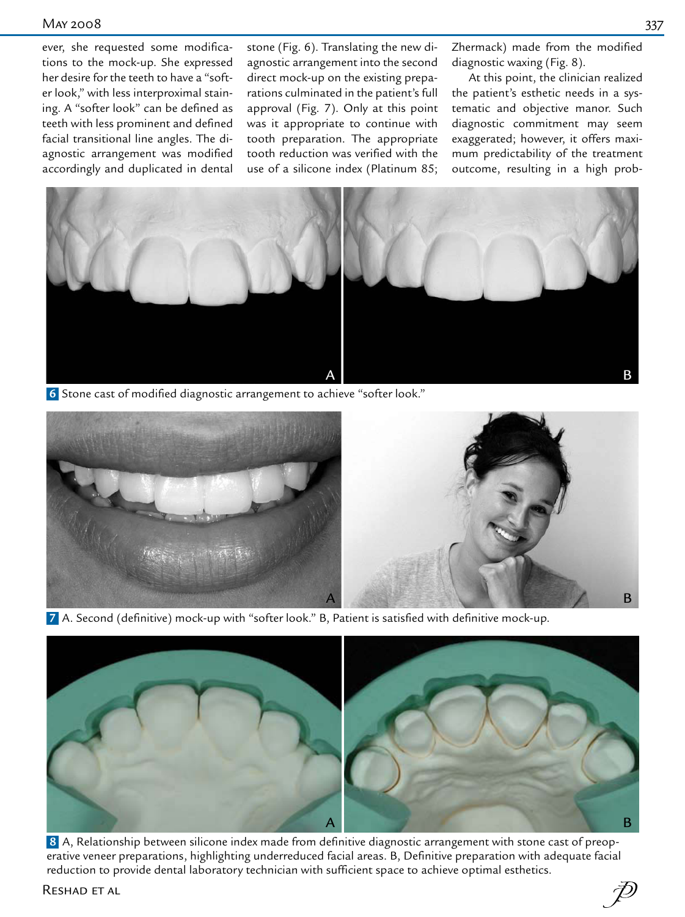ever, she requested some modifications to the mock-up. She expressed her desire for the teeth to have a "softer look," with less interproximal staining. A "softer look" can be defined as teeth with less prominent and defined facial transitional line angles. The diagnostic arrangement was modified accordingly and duplicated in dental

stone (Fig. 6). Translating the new diagnostic arrangement into the second direct mock-up on the existing preparations culminated in the patient's full approval (Fig. 7). Only at this point was it appropriate to continue with tooth preparation. The appropriate tooth reduction was verified with the use of a silicone index (Platinum 85; Zhermack) made from the modified diagnostic waxing (Fig. 8).

At this point, the clinician realized the patient's esthetic needs in a systematic and objective manor. Such diagnostic commitment may seem exaggerated; however, it offers maximum predictability of the treatment outcome, resulting in a high prob-



 **6** Stone cast of modified diagnostic arrangement to achieve "softer look."



 **7** A. Second (definitive) mock-up with "softer look." B, Patient is satisfied with definitive mock-up.



 **8** A, Relationship between silicone index made from definitive diagnostic arrangement with stone cast of preoperative veneer preparations, highlighting underreduced facial areas. B, Definitive preparation with adequate facial reduction to provide dental laboratory technician with sufficient space to achieve optimal esthetics.

RESHAD ET AL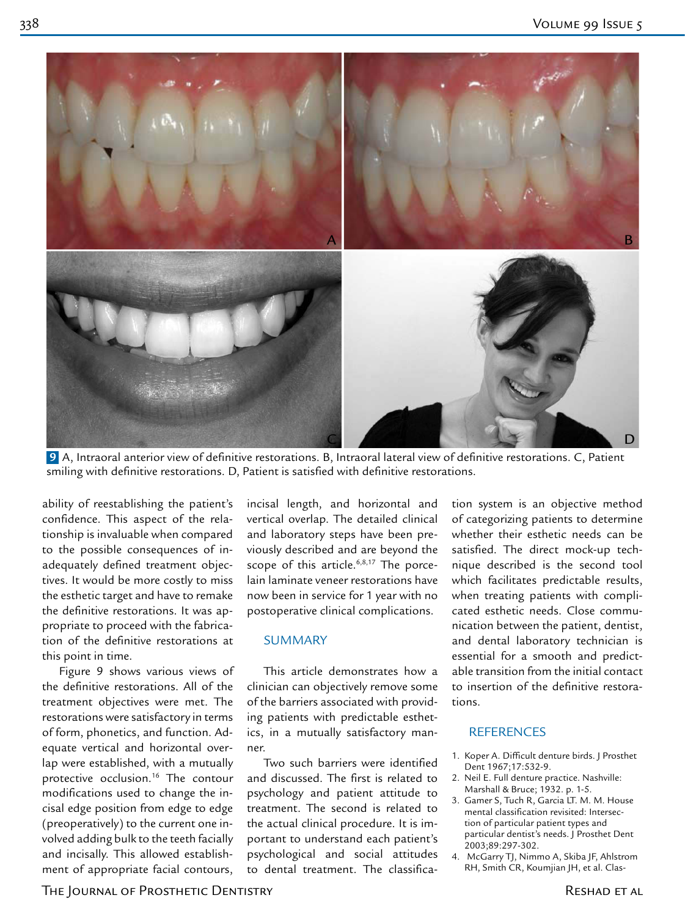

 **9** A, Intraoral anterior view of definitive restorations. B, Intraoral lateral view of definitive restorations. C, Patient smiling with definitive restorations. D, Patient is satisfied with definitive restorations.

ability of reestablishing the patient's confidence. This aspect of the relationship is invaluable when compared to the possible consequences of inadequately defined treatment objectives. It would be more costly to miss the esthetic target and have to remake the definitive restorations. It was appropriate to proceed with the fabrication of the definitive restorations at this point in time.

Figure 9 shows various views of the definitive restorations. All of the treatment objectives were met. The restorations were satisfactory in terms of form, phonetics, and function. Adequate vertical and horizontal overlap were established, with a mutually protective occlusion.16 The contour modifications used to change the incisal edge position from edge to edge (preoperatively) to the current one involved adding bulk to the teeth facially and incisally. This allowed establishment of appropriate facial contours,

incisal length, and horizontal and vertical overlap. The detailed clinical and laboratory steps have been previously described and are beyond the scope of this article.<sup>6,8,17</sup> The porcelain laminate veneer restorations have now been in service for 1 year with no postoperative clinical complications.

#### SUMMARY

This article demonstrates how a clinician can objectively remove some of the barriers associated with providing patients with predictable esthetics, in a mutually satisfactory manner.

Two such barriers were identified and discussed. The first is related to psychology and patient attitude to treatment. The second is related to the actual clinical procedure. It is important to understand each patient's psychological and social attitudes to dental treatment. The classifica-

tion system is an objective method of categorizing patients to determine whether their esthetic needs can be satisfied. The direct mock-up technique described is the second tool which facilitates predictable results, when treating patients with complicated esthetic needs. Close communication between the patient, dentist, and dental laboratory technician is essential for a smooth and predictable transition from the initial contact to insertion of the definitive restorations.

## **REFERENCES**

- 1. Koper A. Difficult denture birds. J Prosthet Dent 1967;17:532-9.
- 2. Neil E. Full denture practice. Nashville: Marshall & Bruce; 1932. p. 1-5.
- 3. Gamer S, Tuch R, Garcia LT. M. M. House mental classification revisited: Intersection of particular patient types and particular dentist's needs. J Prosthet Dent 2003;89:297-302.
- 4. McGarry TJ, Nimmo A, Skiba JF, Ahlstrom RH, Smith CR, Koumjian JH, et al. Clas-